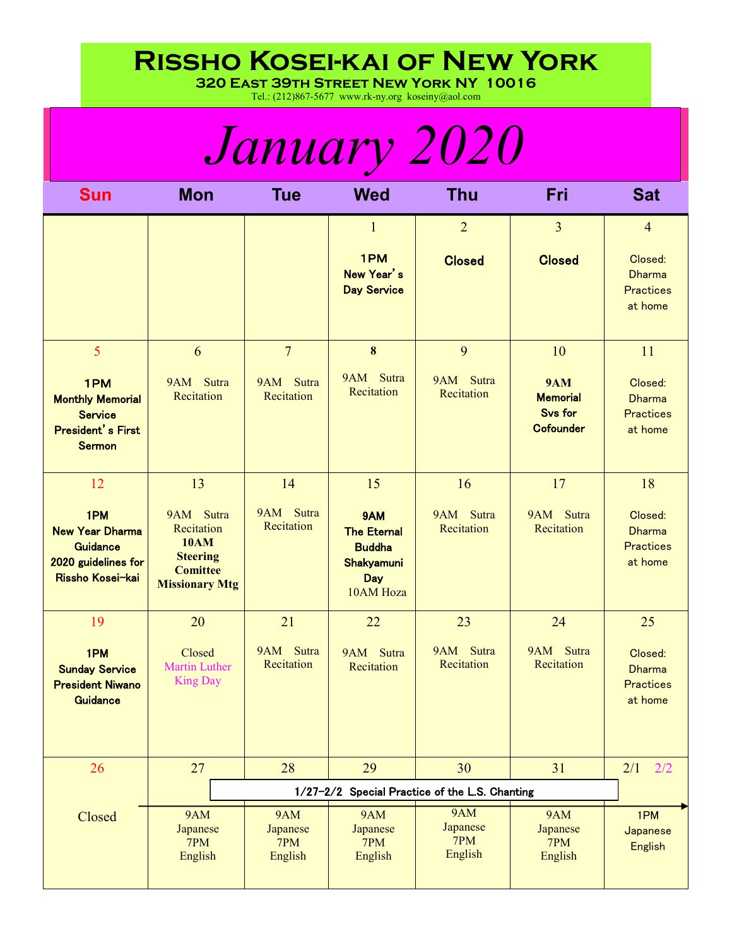## **Rissho Kosei-kai of New York**

**320 East 39th Street New York NY 10016**

Tel.: (212)867-5677 www.rk-ny.org koseiny@aol.com

| <i>January 2020</i>                                                                           |                                                                                                       |                                          |                                                                              |                                   |                                                                     |                                                         |
|-----------------------------------------------------------------------------------------------|-------------------------------------------------------------------------------------------------------|------------------------------------------|------------------------------------------------------------------------------|-----------------------------------|---------------------------------------------------------------------|---------------------------------------------------------|
| <b>Sun</b>                                                                                    | <b>Mon</b>                                                                                            | <b>Tue</b>                               | <b>Wed</b>                                                                   | <b>Thu</b>                        | Fri                                                                 | <b>Sat</b>                                              |
|                                                                                               |                                                                                                       |                                          | $\mathbf{1}$                                                                 | $\overline{2}$                    | $\overline{3}$                                                      | $\overline{4}$                                          |
|                                                                                               |                                                                                                       |                                          | 1PM<br>New Year's<br><b>Day Service</b>                                      | <b>Closed</b>                     | <b>Closed</b>                                                       | Closed:<br><b>Dharma</b><br><b>Practices</b><br>at home |
| 5                                                                                             | 6                                                                                                     | $\overline{7}$                           | $\bf{8}$                                                                     | 9                                 | 10                                                                  | 11                                                      |
| 1PM<br><b>Monthly Memorial</b><br><b>Service</b><br><b>President's First</b><br><b>Sermon</b> | Sutra<br>9AM<br>Recitation                                                                            | 9AM Sutra<br>Recitation                  | 9AM Sutra<br>Recitation                                                      | 9AM Sutra<br>Recitation           | <b>9AM</b><br><b>Memorial</b><br><b>Svs for</b><br><b>Cofounder</b> | Closed:<br><b>Dharma</b><br><b>Practices</b><br>at home |
| 12                                                                                            | 13                                                                                                    | 14                                       | 15                                                                           | 16                                | 17                                                                  | 18                                                      |
| 1PM<br><b>New Year Dharma</b><br><b>Guidance</b><br>2020 guidelines for<br>Rissho Kosei-kai   | 9AM Sutra<br>Recitation<br><b>10AM</b><br><b>Steering</b><br><b>Comittee</b><br><b>Missionary Mtg</b> | 9AM Sutra<br>Recitation                  | 9AM<br><b>The Eternal</b><br><b>Buddha</b><br>Shakyamuni<br>Day<br>10AM Hoza | 9AM Sutra<br>Recitation           | 9AM Sutra<br>Recitation                                             | Closed:<br><b>Dharma</b><br><b>Practices</b><br>at home |
| 19                                                                                            | 20                                                                                                    | 21                                       | 22                                                                           | 23                                | 24                                                                  | 25                                                      |
| 1PM<br><b>Sunday Service</b><br><b>President Niwano</b><br><b>Guidance</b>                    | Closed<br>Martin Luther<br><b>King Day</b>                                                            | 9AM Sutra<br>Recitation                  | 9AM Sutra<br>Recitation                                                      | 9AM Sutra<br>Recitation           | 9AM Sutra<br>Recitation                                             | Closed:<br><b>Dharma</b><br><b>Practices</b><br>at home |
| 26                                                                                            | 27                                                                                                    | 28                                       | 29                                                                           | 30                                | 31                                                                  | 2/1<br>2/2                                              |
|                                                                                               | 1/27-2/2 Special Practice of the L.S. Chanting                                                        |                                          |                                                                              |                                   |                                                                     |                                                         |
| Closed                                                                                        | <b>9AM</b><br>Japanese<br>7PM<br>English                                                              | <b>9AM</b><br>Japanese<br>7PM<br>English | 9AM<br>Japanese<br>7PM<br>English                                            | 9AM<br>Japanese<br>7PM<br>English | <b>9AM</b><br>Japanese<br>7PM<br>English                            | 1PM<br>Japanese<br><b>English</b>                       |